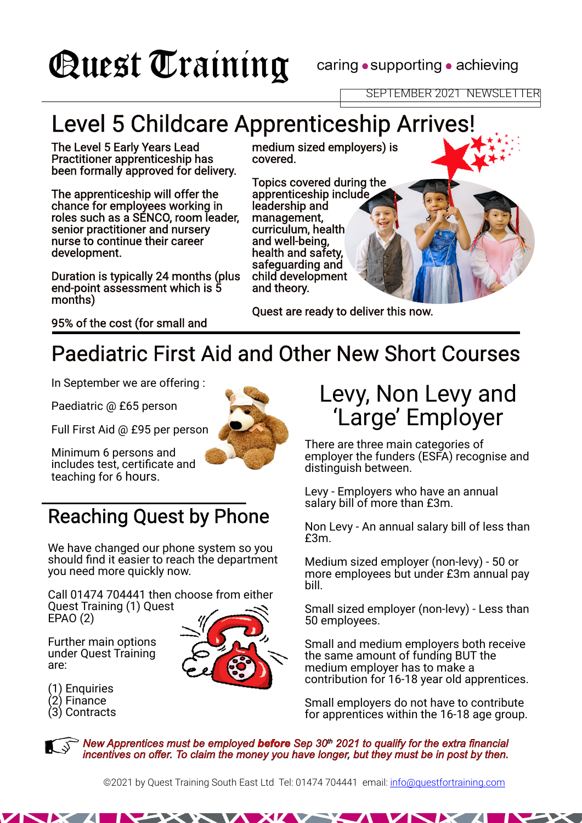# **Quest Training**

caring • supporting • achieving

## Level 5 Childcare Apprenticeship Arrives!

The Level 5 Early Years Lead Practitioner apprenticeship has been formally approved for delivery.

The apprenticeship will offer the chance for employees working in roles such as a SENCO, room leader, senior practitioner and nursery nurse to continue their career development.

Duration is typically 24 months (plus end-point assessment which is 5 months)

medium sized employers) is covered.

Topics covered during the apprenticeship include leadership and management, curriculum, health and well-being, health and safety, safeguarding and child development and theory.

Quest are ready to deliver this now.

95% of the cost (for small and

### Paediatric First Aid and Other New Short Courses

In September we are offering :

Paediatric @ £65 person

Full First Aid @ £95 per person



Minimum 6 persons and includes test, certificate and teaching for 6 hours.

### Reaching Quest by Phone

We have changed our phone system so you should find it easier to reach the department you need more quickly now.

Call 01474 704441 then choose from either Quest Training (1) Quest EPAO (2)

Further main options under Quest Training are:

(1) Enquiries (2) Finance

(3) Contracts





There are three main categories of employer the funders (ESFA) recognise and distinguish between.

Levy - Employers who have an annual salary bill of more than £3m.

Non Levy - An annual salary bill of less than £3m.

Medium sized employer (non-levy) - 50 or more employees but under £3m annual pay bill.

Small sized employer (non-levy) - Less than 50 employees.

Small and medium employers both receive the same amount of funding BUT the medium employer has to make a contribution for 16-18 year old apprentices.

Small employers do not have to contribute for apprentices within the 16-18 age group.

*New Apprentices must be employed before Sep 30th 2021 to qualify for the extra financial incentives on offer. To claim the money you have longer, but they must be in post by then.*

©2021 by Quest Training South East Ltd Tel: 01474 704441 email: info@questfortraining.com